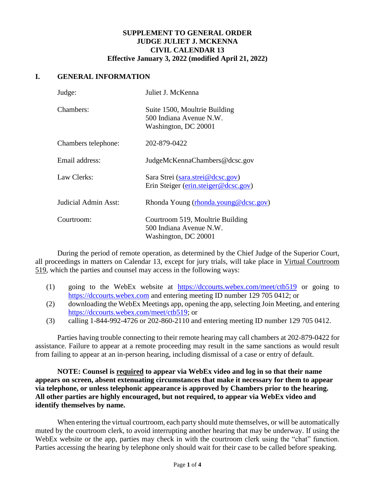### **SUPPLEMENT TO GENERAL ORDER JUDGE JULIET J. MCKENNA CIVIL CALENDAR 13 Effective January 3, 2022 (modified April 21, 2022)**

#### **I. GENERAL INFORMATION**

| Judge:               | Juliet J. McKenna                                                                   |
|----------------------|-------------------------------------------------------------------------------------|
| Chambers:            | Suite 1500, Moultrie Building<br>500 Indiana Avenue N.W.<br>Washington, DC 20001    |
| Chambers telephone:  | 202-879-0422                                                                        |
| Email address:       | JudgeMcKennaChambers@dcsc.gov                                                       |
| Law Clerks:          | Sara Strei (sara.strei@dcsc.gov)<br>Erin Steiger (erin.steiger@dcsc.gov)            |
| Judicial Admin Asst: | Rhonda Young (rhonda.young@dcsc.gov)                                                |
| Courtroom:           | Courtroom 519, Moultrie Building<br>500 Indiana Avenue N.W.<br>Washington, DC 20001 |

During the period of remote operation, as determined by the Chief Judge of the Superior Court, all proceedings in matters on Calendar 13, except for jury trials, will take place in Virtual Courtroom 519, which the parties and counsel may access in the following ways:

- (1) going to the WebEx website at <https://dccourts.webex.com/meet/ctb519> or going to [https://dccourts.webex.com](https://dccourts.webex.com/) and entering meeting ID number 129 705 0412; or
- (2) downloading the WebEx Meetings app, opening the app, selecting Join Meeting, and entering [https://dccourts.webex.com/meet/ctb519;](https://dccourts.webex.com/meet/ctb519) or
- (3) calling 1-844-992-4726 or 202-860-2110 and entering meeting ID number 129 705 0412.

Parties having trouble connecting to their remote hearing may call chambers at 202-879-0422 for assistance. Failure to appear at a remote proceeding may result in the same sanctions as would result from failing to appear at an in-person hearing, including dismissal of a case or entry of default.

**NOTE: Counsel is required to appear via WebEx video and log in so that their name appears on screen, absent extenuating circumstances that make it necessary for them to appear via telephone, or unless telephonic appearance is approved by Chambers prior to the hearing. All other parties are highly encouraged, but not required, to appear via WebEx video and identify themselves by name.** 

When entering the virtual courtroom, each party should mute themselves, or will be automatically muted by the courtroom clerk, to avoid interrupting another hearing that may be underway. If using the WebEx website or the app, parties may check in with the courtroom clerk using the "chat" function. Parties accessing the hearing by telephone only should wait for their case to be called before speaking.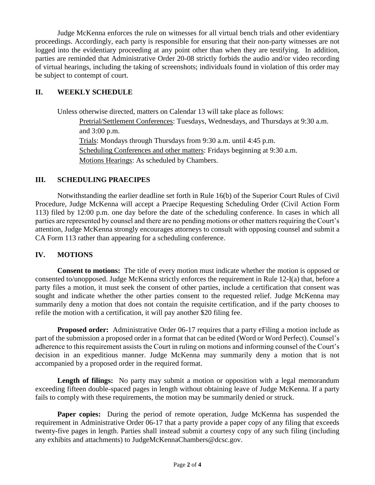Judge McKenna enforces the rule on witnesses for all virtual bench trials and other evidentiary proceedings. Accordingly, each party is responsible for ensuring that their non-party witnesses are not logged into the evidentiary proceeding at any point other than when they are testifying. In addition, parties are reminded that Administrative Order 20-08 strictly forbids the audio and/or video recording of virtual hearings, including the taking of screenshots; individuals found in violation of this order may be subject to contempt of court.

## **II. WEEKLY SCHEDULE**

Unless otherwise directed, matters on Calendar 13 will take place as follows: Pretrial/Settlement Conferences: Tuesdays, Wednesdays, and Thursdays at 9:30 a.m. and 3:00 p.m. Trials: Mondays through Thursdays from 9:30 a.m. until 4:45 p.m. Scheduling Conferences and other matters: Fridays beginning at 9:30 a.m. Motions Hearings: As scheduled by Chambers.

### **III. SCHEDULING PRAECIPES**

Notwithstanding the earlier deadline set forth in Rule 16(b) of the Superior Court Rules of Civil Procedure, Judge McKenna will accept a Praecipe Requesting Scheduling Order (Civil Action Form 113) filed by 12:00 p.m. one day before the date of the scheduling conference. In cases in which all parties are represented by counsel and there are no pending motions or other matters requiring the Court's attention, Judge McKenna strongly encourages attorneys to consult with opposing counsel and submit a CA Form 113 rather than appearing for a scheduling conference.

### **IV. MOTIONS**

**Consent to motions:** The title of every motion must indicate whether the motion is opposed or consented to/unopposed. Judge McKenna strictly enforces the requirement in Rule 12-I(a) that, before a party files a motion, it must seek the consent of other parties, include a certification that consent was sought and indicate whether the other parties consent to the requested relief. Judge McKenna may summarily deny a motion that does not contain the requisite certification, and if the party chooses to refile the motion with a certification, it will pay another \$20 filing fee.

**Proposed order:** Administrative Order 06-17 requires that a party eFiling a motion include as part of the submission a proposed order in a format that can be edited (Word or Word Perfect). Counsel's adherence to this requirement assists the Court in ruling on motions and informing counsel of the Court's decision in an expeditious manner. Judge McKenna may summarily deny a motion that is not accompanied by a proposed order in the required format.

Length of filings: No party may submit a motion or opposition with a legal memorandum exceeding fifteen double-spaced pages in length without obtaining leave of Judge McKenna. If a party fails to comply with these requirements, the motion may be summarily denied or struck.

Paper copies: During the period of remote operation, Judge McKenna has suspended the requirement in Administrative Order 06-17 that a party provide a paper copy of any filing that exceeds twenty-five pages in length. Parties shall instead submit a courtesy copy of any such filing (including any exhibits and attachments) to JudgeMcKennaChambers@dcsc.gov.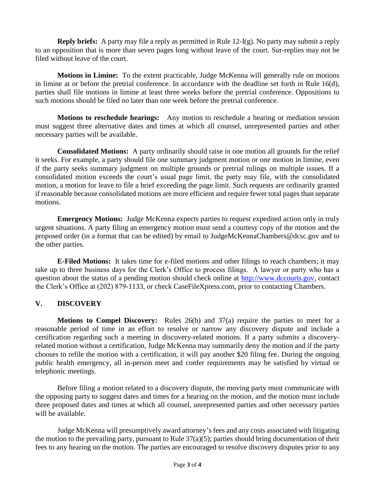**Reply briefs:** A party may file a reply as permitted in Rule 12-I(g). No party may submit a reply to an opposition that is more than seven pages long without leave of the court. Sur-replies may not be filed without leave of the court.

**Motions in Limine:** To the extent practicable, Judge McKenna will generally rule on motions in limine at or before the pretrial conference. In accordance with the deadline set forth in Rule 16(d), parties shall file motions in limine at least three weeks before the pretrial conference. Oppositions to such motions should be filed no later than one week before the pretrial conference.

**Motions to reschedule hearings:** Any motion to reschedule a hearing or mediation session must suggest three alternative dates and times at which all counsel, unrepresented parties and other necessary parties will be available.

**Consolidated Motions:** A party ordinarily should raise in one motion all grounds for the relief it seeks. For example, a party should file one summary judgment motion or one motion in limine, even if the party seeks summary judgment on multiple grounds or pretrial rulings on multiple issues. If a consolidated motion exceeds the court's usual page limit, the party may file, with the consolidated motion, a motion for leave to file a brief exceeding the page limit. Such requests are ordinarily granted if reasonable because consolidated motions are more efficient and require fewer total pages than separate motions.

**Emergency Motions:** Judge McKenna expects parties to request expedited action only in truly urgent situations. A party filing an emergency motion must send a courtesy copy of the motion and the proposed order (in a format that can be edited) by email to JudgeMcKennaChambers@dcsc.gov and to the other parties.

**E-Filed Motions:** It takes time for e-filed motions and other filings to reach chambers; it may take up to three business days for the Clerk's Office to process filings. A lawyer or party who has a question about the status of a pending motion should check online at [http://www.dccourts.gov,](http://www.dccourts.gov/) contact the Clerk's Office at (202) 879-1133, or check CaseFileXpress.com, prior to contacting Chambers.

# **V. DISCOVERY**

**Motions to Compel Discovery:** Rules 26(h) and 37(a) require the parties to meet for a reasonable period of time in an effort to resolve or narrow any discovery dispute and include a certification regarding such a meeting in discovery-related motions. If a party submits a discoveryrelated motion without a certification, Judge McKenna may summarily deny the motion and if the party chooses to refile the motion with a certification, it will pay another \$20 filing fee. During the ongoing public health emergency, all in-person meet and confer requirements may be satisfied by virtual or telephonic meetings.

Before filing a motion related to a discovery dispute, the moving party must communicate with the opposing party to suggest dates and times for a hearing on the motion, and the motion must include three proposed dates and times at which all counsel, unrepresented parties and other necessary parties will be available.

Judge McKenna will presumptively award attorney's fees and any costs associated with litigating the motion to the prevailing party, pursuant to Rule  $37(a)(5)$ ; parties should bring documentation of their fees to any hearing on the motion. The parties are encouraged to resolve discovery disputes prior to any